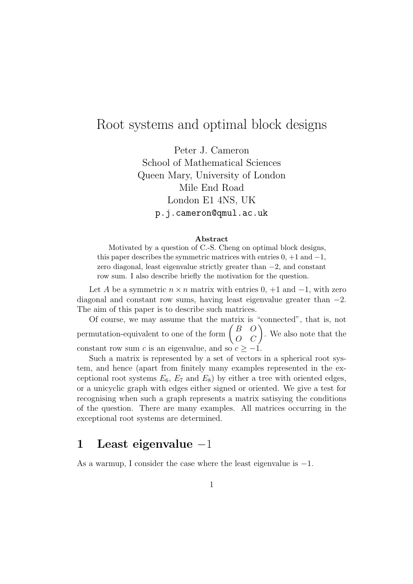### Root systems and optimal block designs

Peter J. Cameron School of Mathematical Sciences Queen Mary, University of London Mile End Road London E1 4NS, UK p.j.cameron@qmul.ac.uk

#### Abstract

Motivated by a question of C.-S. Cheng on optimal block designs, this paper describes the symmetric matrices with entries  $0, +1$  and  $-1$ , zero diagonal, least eigenvalue strictly greater than −2, and constant row sum. I also describe briefly the motivation for the question.

Let A be a symmetric  $n \times n$  matrix with entries  $0, +1$  and  $-1$ , with zero diagonal and constant row sums, having least eigenvalue greater than  $-2$ . The aim of this paper is to describe such matrices.

Of course, we may assume that the matrix is "connected", that is, not permutation-equivalent to one of the form  $\begin{pmatrix} B & O \\ O & C \end{pmatrix}$ . We also note that the constant row sum c is an eigenvalue, and so  $c \ge -1$ .

Such a matrix is represented by a set of vectors in a spherical root system, and hence (apart from finitely many examples represented in the exceptional root systems  $E_6$ ,  $E_7$  and  $E_8$ ) by either a tree with oriented edges, or a unicyclic graph with edges either signed or oriented. We give a test for recognising when such a graph represents a matrix satisying the conditions of the question. There are many examples. All matrices occurring in the exceptional root systems are determined.

### 1 Least eigenvalue −1

As a warmup, I consider the case where the least eigenvalue is −1.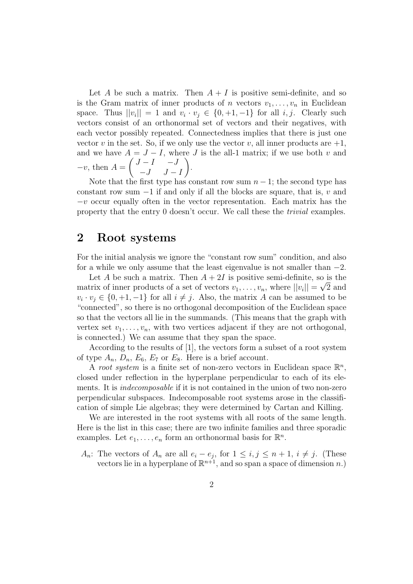Let A be such a matrix. Then  $A + I$  is positive semi-definite, and so is the Gram matrix of inner products of n vectors  $v_1, \ldots, v_n$  in Euclidean space. Thus  $||v_i|| = 1$  and  $v_i \cdot v_j \in \{0, +1, -1\}$  for all  $i, j$ . Clearly such vectors consist of an orthonormal set of vectors and their negatives, with each vector possibly repeated. Connectedness implies that there is just one vector v in the set. So, if we only use the vector v, all inner products are  $+1$ , and we have  $A = J - I$ , where J is the all-1 matrix; if we use both v and  $-v$ , then  $A =$  $\int J - I \quad -J$  $-J$   $J-I$  $\setminus$ .

Note that the first type has constant row sum  $n-1$ ; the second type has constant row sum  $-1$  if and only if all the blocks are square, that is, v and  $-v$  occur equally often in the vector representation. Each matrix has the property that the entry 0 doesn't occur. We call these the trivial examples.

#### 2 Root systems

For the initial analysis we ignore the "constant row sum" condition, and also for a while we only assume that the least eigenvalue is not smaller than  $-2$ .

Let A be such a matrix. Then  $A + 2I$  is positive semi-definite, so is the matrix of inner products of a set of vectors  $v_1, \ldots, v_n$ , where  $||v_i|| = \sqrt{2}$  and  $v_i \cdot v_j \in \{0, +1, -1\}$  for all  $i \neq j$ . Also, the matrix A can be assumed to be "connected", so there is no orthogonal decomposition of the Euclidean space so that the vectors all lie in the summands. (This means that the graph with vertex set  $v_1, \ldots, v_n$ , with two vertices adjacent if they are not orthogonal, is connected.) We can assume that they span the space.

According to the results of [1], the vectors form a subset of a root system of type  $A_n$ ,  $D_n$ ,  $E_6$ ,  $E_7$  or  $E_8$ . Here is a brief account.

A root system is a finite set of non-zero vectors in Euclidean space  $\mathbb{R}^n$ , closed under reflection in the hyperplane perpendicular to each of its elements. It is *indecomposable* if it is not contained in the union of two non-zero perpendicular subspaces. Indecomposable root systems arose in the classification of simple Lie algebras; they were determined by Cartan and Killing.

We are interested in the root systems with all roots of the same length. Here is the list in this case; there are two infinite families and three sporadic examples. Let  $e_1, \ldots, e_n$  form an orthonormal basis for  $\mathbb{R}^n$ .

 $A_n$ : The vectors of  $A_n$  are all  $e_i - e_j$ , for  $1 \leq i, j \leq n+1, i \neq j$ . (These vectors lie in a hyperplane of  $\mathbb{R}^{n+1}$ , and so span a space of dimension n.)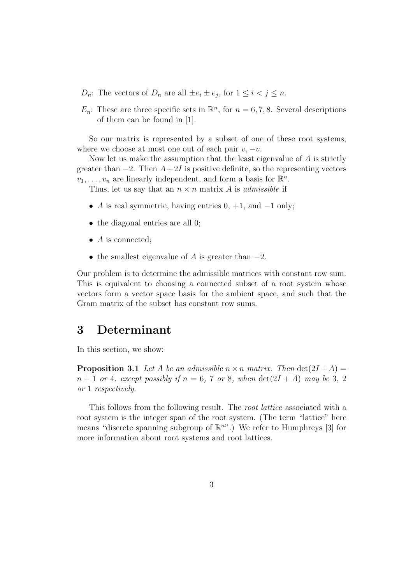- $D_n$ : The vectors of  $D_n$  are all  $\pm e_i \pm e_j$ , for  $1 \leq i < j \leq n$ .
- $E_n$ : These are three specific sets in  $\mathbb{R}^n$ , for  $n = 6, 7, 8$ . Several descriptions of them can be found in [1].

So our matrix is represented by a subset of one of these root systems, where we choose at most one out of each pair  $v, -v$ .

Now let us make the assumption that the least eigenvalue of  $A$  is strictly greater than  $-2$ . Then  $A+2I$  is positive definite, so the representing vectors  $v_1, \ldots, v_n$  are linearly independent, and form a basis for  $\mathbb{R}^n$ .

Thus, let us say that an  $n \times n$  matrix A is *admissible* if

- A is real symmetric, having entries  $0, +1$ , and  $-1$  only;
- the diagonal entries are all 0;
- $\bullet$  A is connected;
- the smallest eigenvalue of A is greater than  $-2$ .

Our problem is to determine the admissible matrices with constant row sum. This is equivalent to choosing a connected subset of a root system whose vectors form a vector space basis for the ambient space, and such that the Gram matrix of the subset has constant row sums.

#### 3 Determinant

In this section, we show:

**Proposition 3.1** Let A be an admissible  $n \times n$  matrix. Then  $\det(2I + A) =$  $n+1$  or 4, except possibly if  $n=6, 7$  or 8, when  $\det(2I+A)$  may be 3, 2 or 1 respectively.

This follows from the following result. The root lattice associated with a root system is the integer span of the root system. (The term "lattice" here means "discrete spanning subgroup of  $\mathbb{R}^{n}$ ".) We refer to Humphreys [3] for more information about root systems and root lattices.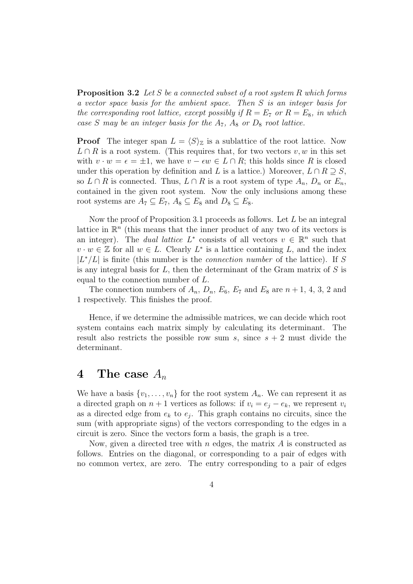**Proposition 3.2** Let S be a connected subset of a root system R which forms a vector space basis for the ambient space. Then S is an integer basis for the corresponding root lattice, except possibly if  $R = E_7$  or  $R = E_8$ , in which case S may be an integer basis for the  $A_7$ ,  $A_8$  or  $D_8$  root lattice.

**Proof** The integer span  $L = \langle S \rangle_{\mathbb{Z}}$  is a sublattice of the root lattice. Now  $L \cap R$  is a root system. (This requires that, for two vectors  $v, w$  in this set with  $v \cdot w = \epsilon = \pm 1$ , we have  $v - \epsilon w \in L \cap R$ ; this holds since R is closed under this operation by definition and L is a lattice.) Moreover,  $L \cap R \supseteq S$ , so  $L \cap R$  is connected. Thus,  $L \cap R$  is a root system of type  $A_n$ ,  $D_n$  or  $E_n$ , contained in the given root system. Now the only inclusions among these root systems are  $A_7 \subseteq E_7$ ,  $A_8 \subseteq E_8$  and  $D_8 \subseteq E_8$ .

Now the proof of Proposition 3.1 proceeds as follows. Let  $L$  be an integral lattice in  $\mathbb{R}^n$  (this means that the inner product of any two of its vectors is an integer). The *dual lattice*  $L^*$  consists of all vectors  $v \in \mathbb{R}^n$  such that  $v \cdot w \in \mathbb{Z}$  for all  $w \in L$ . Clearly  $L^*$  is a lattice containing L, and the index  $|L^*/L|$  is finite (this number is the *connection number* of the lattice). If S is any integral basis for  $L$ , then the determinant of the Gram matrix of  $S$  is equal to the connection number of L.

The connection numbers of  $A_n$ ,  $D_n$ ,  $E_6$ ,  $E_7$  and  $E_8$  are  $n+1$ , 4, 3, 2 and 1 respectively. This finishes the proof.

Hence, if we determine the admissible matrices, we can decide which root system contains each matrix simply by calculating its determinant. The result also restricts the possible row sum s, since  $s + 2$  must divide the determinant.

#### 4 The case  $A_n$

We have a basis  $\{v_1, \ldots, v_n\}$  for the root system  $A_n$ . We can represent it as a directed graph on  $n + 1$  vertices as follows: if  $v_i = e_j - e_k$ , we represent  $v_i$ as a directed edge from  $e_k$  to  $e_j$ . This graph contains no circuits, since the sum (with appropriate signs) of the vectors corresponding to the edges in a circuit is zero. Since the vectors form a basis, the graph is a tree.

Now, given a directed tree with  $n$  edges, the matrix  $A$  is constructed as follows. Entries on the diagonal, or corresponding to a pair of edges with no common vertex, are zero. The entry corresponding to a pair of edges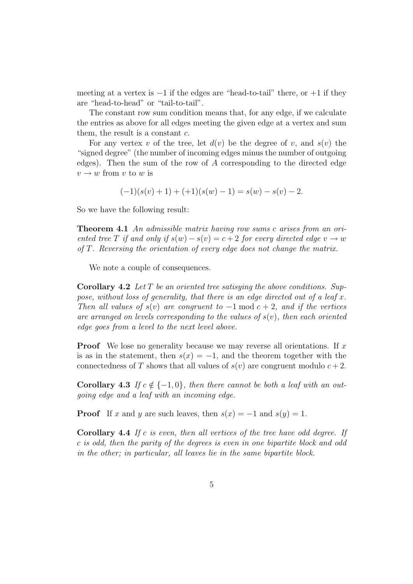meeting at a vertex is  $-1$  if the edges are "head-to-tail" there, or  $+1$  if they are "head-to-head" or "tail-to-tail".

The constant row sum condition means that, for any edge, if we calculate the entries as above for all edges meeting the given edge at a vertex and sum them, the result is a constant  $c$ .

For any vertex v of the tree, let  $d(v)$  be the degree of v, and  $s(v)$  the "signed degree" (the number of incoming edges minus the number of outgoing edges). Then the sum of the row of  $A$  corresponding to the directed edge  $v \rightarrow w$  from v to w is

$$
(-1)(s(v) + 1) + (+1)(s(w) - 1) = s(w) - s(v) - 2.
$$

So we have the following result:

Theorem 4.1 An admissible matrix having row sums c arises from an oriented tree T if and only if  $s(w) - s(v) = c + 2$  for every directed edge  $v \to w$ of T. Reversing the orientation of every edge does not change the matrix.

We note a couple of consequences.

**Corollary 4.2** Let  $T$  be an oriented tree satisying the above conditions. Suppose, without loss of generality, that there is an edge directed out of a leaf  $x$ . Then all values of  $s(v)$  are congruent to  $-1 \mod c + 2$ , and if the vertices are arranged on levels corresponding to the values of  $s(v)$ , then each oriented edge goes from a level to the next level above.

**Proof** We lose no generality because we may reverse all orientations. If x is as in the statement, then  $s(x) = -1$ , and the theorem together with the connectedness of T shows that all values of  $s(v)$  are congruent modulo  $c+2$ .

Corollary 4.3 If  $c \notin \{-1, 0\}$ , then there cannot be both a leaf with an outgoing edge and a leaf with an incoming edge.

**Proof** If x and y are such leaves, then  $s(x) = -1$  and  $s(y) = 1$ .

Corollary 4.4 If c is even, then all vertices of the tree have odd degree. If c is odd, then the parity of the degrees is even in one bipartite block and odd in the other; in particular, all leaves lie in the same bipartite block.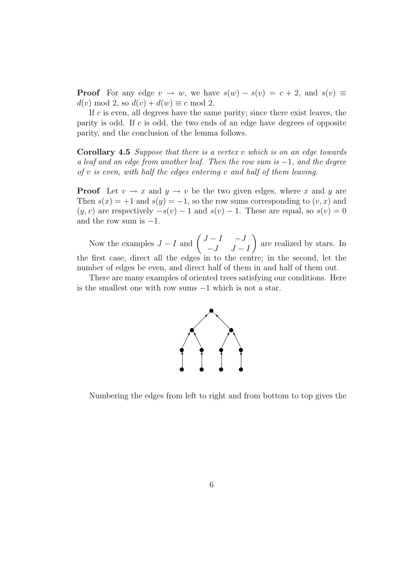**Proof** For any edge  $v \to w$ , we have  $s(w) - s(v) = c + 2$ , and  $s(v) \equiv$  $d(v) \bmod 2$ , so  $d(v) + d(w) \equiv c \bmod 2$ .

If  $c$  is even, all degrees have the same parity; since there exist leaves, the parity is odd. If c is odd, the two ends of an edge have degrees of opposite parity, and the conclusion of the lemma follows.

**Corollary 4.5** Suppose that there is a vertex v which is on an edge towards a leaf and an edge from another leaf. Then the row sum is  $-1$ , and the degree of  $v$  is even, with half the edges entering  $v$  and half of them leaving.

**Proof** Let  $v \to x$  and  $y \to v$  be the two given edges, where x and y are Then  $s(x) = +1$  and  $s(y) = -1$ , so the row sums corresponding to  $(v, x)$  and  $(y, v)$  are respectively  $-s(v) - 1$  and  $s(v) - 1$ . These are equal, so  $s(v) = 0$ and the row sum is  $-1$ .

Now the examples  $J - I$  and  $\begin{pmatrix} J - I & -J \\ I & I \end{pmatrix}$  $-J$   $J - I$  $\setminus$ are realized by stars. In the first case, direct all the edges in to the centre; in the second, let the number of edges be even, and direct half of them in and half of them out.

There are many examples of oriented trees satisfying our conditions. Here is the smallest one with row sums −1 which is not a star.



Numbering the edges from left to right and from bottom to top gives the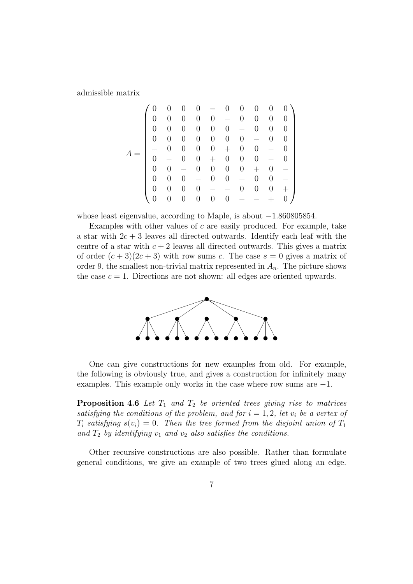admissible matrix

$$
A = \left(\begin{array}{cccccccccc} 0 & 0 & 0 & 0 & - & 0 & 0 & 0 & 0 & 0 \\ 0 & 0 & 0 & 0 & - & 0 & 0 & 0 & 0 \\ 0 & 0 & 0 & 0 & 0 & - & 0 & 0 & 0 \\ 0 & 0 & 0 & 0 & 0 & 0 & - & 0 & 0 \\ - & 0 & 0 & 0 & 0 & + & 0 & 0 & - & 0 \\ 0 & - & 0 & 0 & + & 0 & 0 & - & 0 \\ 0 & 0 & - & 0 & 0 & 0 & + & 0 & - \\ 0 & 0 & 0 & - & 0 & 0 & + & 0 & 0 \\ 0 & 0 & 0 & 0 & - & - & 0 & 0 & 0 \\ 0 & 0 & 0 & 0 & 0 & - & - & + & 0 \end{array}\right)
$$

whose least eigenvalue, according to Maple, is about −1.860805854.

Examples with other values of  $c$  are easily produced. For example, take a star with  $2c + 3$  leaves all directed outwards. Identify each leaf with the centre of a star with  $c + 2$  leaves all directed outwards. This gives a matrix of order  $(c+3)(2c+3)$  with row sums c. The case  $s=0$  gives a matrix of order 9, the smallest non-trivial matrix represented in  $A_n$ . The picture shows the case  $c = 1$ . Directions are not shown: all edges are oriented upwards.



One can give constructions for new examples from old. For example, the following is obviously true, and gives a construction for infinitely many examples. This example only works in the case where row sums are  $-1$ .

**Proposition 4.6** Let  $T_1$  and  $T_2$  be oriented trees giving rise to matrices satisfying the conditions of the problem, and for  $i = 1, 2$ , let  $v_i$  be a vertex of  $T_i$  satisfying  $s(v_i) = 0$ . Then the tree formed from the disjoint union of  $T_1$ and  $T_2$  by identifying  $v_1$  and  $v_2$  also satisfies the conditions.

Other recursive constructions are also possible. Rather than formulate general conditions, we give an example of two trees glued along an edge.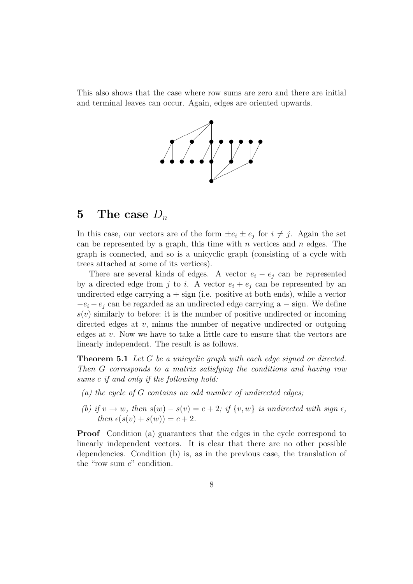This also shows that the case where row sums are zero and there are initial and terminal leaves can occur. Again, edges are oriented upwards.



#### 5 The case  $D_n$

In this case, our vectors are of the form  $\pm e_i \pm e_j$  for  $i \neq j$ . Again the set can be represented by a graph, this time with n vertices and  $n$  edges. The graph is connected, and so is a unicyclic graph (consisting of a cycle with trees attached at some of its vertices).

There are several kinds of edges. A vector  $e_i - e_j$  can be represented by a directed edge from j to i. A vector  $e_i + e_j$  can be represented by an undirected edge carrying  $a + sign$  (i.e. positive at both ends), while a vector  $-e_i - e_j$  can be regarded as an undirected edge carrying a – sign. We define  $s(v)$  similarly to before: it is the number of positive undirected or incoming directed edges at  $v$ , minus the number of negative undirected or outgoing edges at  $v$ . Now we have to take a little care to ensure that the vectors are linearly independent. The result is as follows.

**Theorem 5.1** Let G be a unicyclic graph with each edge signed or directed. Then G corresponds to a matrix satisfying the conditions and having row sums c if and only if the following hold:

- $(a)$  the cycle of G contains an odd number of undirected edges;
- (b) if  $v \to w$ , then  $s(w) s(v) = c + 2$ ; if  $\{v, w\}$  is undirected with sign  $\epsilon$ , then  $\epsilon(s(v) + s(w)) = c + 2$ .

Proof Condition (a) guarantees that the edges in the cycle correspond to linearly independent vectors. It is clear that there are no other possible dependencies. Condition (b) is, as in the previous case, the translation of the "row sum  $c$ " condition.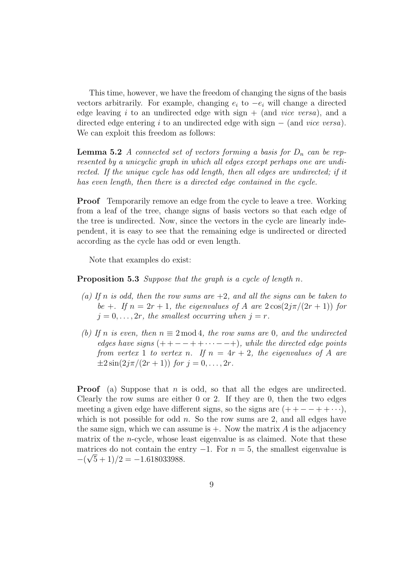This time, however, we have the freedom of changing the signs of the basis vectors arbitrarily. For example, changing  $e_i$  to  $-e_i$  will change a directed edge leaving i to an undirected edge with sign  $+$  (and vice versa), and a directed edge entering i to an undirected edge with sign  $-$  (and vice versa). We can exploit this freedom as follows:

**Lemma 5.2** A connected set of vectors forming a basis for  $D_n$  can be represented by a unicyclic graph in which all edges except perhaps one are undirected. If the unique cycle has odd length, then all edges are undirected; if it has even length, then there is a directed edge contained in the cycle.

**Proof** Temporarily remove an edge from the cycle to leave a tree. Working from a leaf of the tree, change signs of basis vectors so that each edge of the tree is undirected. Now, since the vectors in the cycle are linearly independent, it is easy to see that the remaining edge is undirected or directed according as the cycle has odd or even length.

Note that examples do exist:

Proposition 5.3 Suppose that the graph is a cycle of length n.

- (a) If n is odd, then the row sums are  $+2$ , and all the signs can be taken to be +. If  $n = 2r + 1$ , the eigenvalues of A are  $2\cos(2j\pi/(2r+1))$  for  $j = 0, \ldots, 2r$ , the smallest occurring when  $j = r$ .
- (b) If n is even, then  $n \equiv 2 \mod 4$ , the row sums are 0, and the undirected edges have signs  $(++- - ++ \cdots -- +)$ , while the directed edge points from vertex 1 to vertex n. If  $n = 4r + 2$ , the eigenvalues of A are  $\pm 2\sin(2j\pi/(2r+1))$  for  $j = 0, \ldots, 2r$ .

**Proof** (a) Suppose that n is odd, so that all the edges are undirected. Clearly the row sums are either 0 or 2. If they are 0, then the two edges meeting a given edge have different signs, so the signs are  $(++-++\cdots)$ , which is not possible for odd  $n$ . So the row sums are 2, and all edges have the same sign, which we can assume is  $+$ . Now the matrix A is the adjacency matrix of the *n*-cycle, whose least eigenvalue is as claimed. Note that these matrices do not contain the entry  $-1$ . For  $n = 5$ , the smallest eigenvalue is  $-(\sqrt{5}+1)/2 = -1.618033988.$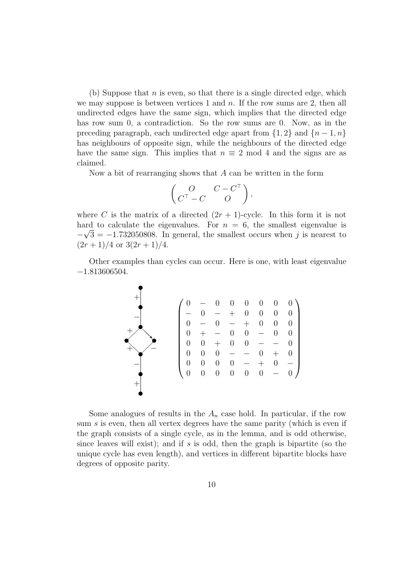(b) Suppose that n is even, so that there is a single directed edge, which we may suppose is between vertices 1 and  $n$ . If the row sums are 2, then all undirected edges have the same sign, which implies that the directed edge has row sum 0, a contradiction. So the row sums are 0. Now, as in the preceding paragraph, each undirected edge apart from  $\{1,2\}$  and  $\{n-1,n\}$ has neighbours of opposite sign, while the neighbours of the directed edge have the same sign. This implies that  $n \equiv 2 \mod 4$  and the signs are as claimed.

Now a bit of rearranging shows that  $A$  can be written in the form

$$
\begin{pmatrix} O & C - C^{\top} \\ C^{\top} - C & O \end{pmatrix},
$$

where C is the matrix of a directed  $(2r + 1)$ -cycle. In this form it is not hard to calculate the eigenvalues. For  $n = 6$ , the smallest eigenvalue is  $-\sqrt{3} = -1.732050808$ . In general, the smallest occurs when j is nearest to  $(2r+1)/4$  or  $3(2r+1)/4$ .

Other examples than cycles can occur. Here is one, with least eigenvalue −1.813606504.

$$
\begin{pmatrix}\n0 & - & 0 & 0 & 0 & 0 & 0 & 0 \\
- & 0 & - & + & 0 & 0 & 0 & 0 \\
0 & - & 0 & - & + & 0 & 0 & 0 \\
0 & + & - & 0 & 0 & - & 0 & 0 \\
0 & 0 & + & 0 & 0 & - & - & 0 \\
0 & 0 & 0 & - & - & 0 & + & 0 \\
0 & 0 & 0 & 0 & - & + & 0 & - \\
0 & 0 & 0 & 0 & 0 & 0 & - & 0\n\end{pmatrix}
$$

Some analogues of results in the  $A_n$  case hold. In particular, if the row sum s is even, then all vertex degrees have the same parity (which is even if the graph consists of a single cycle, as in the lemma, and is odd otherwise, since leaves will exist); and if  $s$  is odd, then the graph is bipartite (so the unique cycle has even length), and vertices in different bipartite blocks have degrees of opposite parity.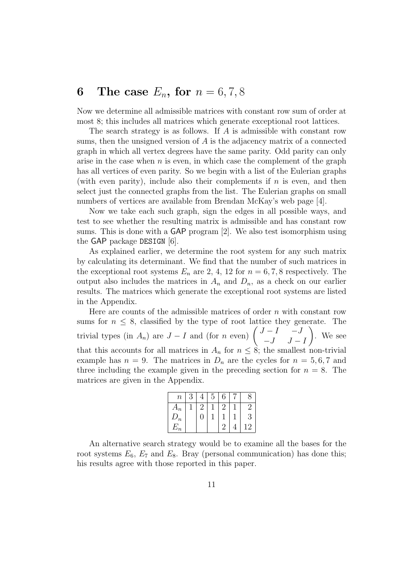### 6 The case  $E_n$ , for  $n = 6, 7, 8$

Now we determine all admissible matrices with constant row sum of order at most 8; this includes all matrices which generate exceptional root lattices.

The search strategy is as follows. If A is admissible with constant row sums, then the unsigned version of  $A$  is the adjacency matrix of a connected graph in which all vertex degrees have the same parity. Odd parity can only arise in the case when  $n$  is even, in which case the complement of the graph has all vertices of even parity. So we begin with a list of the Eulerian graphs (with even parity), include also their complements if  $n$  is even, and then select just the connected graphs from the list. The Eulerian graphs on small numbers of vertices are available from Brendan McKay's web page [4].

Now we take each such graph, sign the edges in all possible ways, and test to see whether the resulting matrix is admissible and has constant row sums. This is done with a GAP program [2]. We also test isomorphism using the GAP package DESIGN [6].

As explained earlier, we determine the root system for any such matrix by calculating its determinant. We find that the number of such matrices in the exceptional root systems  $E_n$  are 2, 4, 12 for  $n = 6, 7, 8$  respectively. The output also includes the matrices in  $A_n$  and  $D_n$ , as a check on our earlier results. The matrices which generate the exceptional root systems are listed in the Appendix.

Here are counts of the admissible matrices of order  $n$  with constant row sums for  $n \leq 8$ , classified by the type of root lattice they generate. The trivial types (in  $A_n$ ) are  $J - I$  and (for n even)  $\begin{pmatrix} J - I & -J \\ I & I \end{pmatrix}$  $-J$   $J - I$  $\setminus$ . We see that this accounts for all matrices in  $A_n$  for  $n \leq \hat{s}$ ; the smallest non-trivial example has  $n = 9$ . The matrices in  $D_n$  are the cycles for  $n = 5, 6, 7$  and three including the example given in the preceding section for  $n = 8$ . The matrices are given in the Appendix.

| $\, n$ | 2 |        | b | 6 |     |
|--------|---|--------|---|---|-----|
| $A_n$  |   | - 1    |   | c | ۰.  |
| $D_n$  |   | $\Box$ |   |   | 3   |
| $E_n$  |   |        |   | റ | . 9 |

An alternative search strategy would be to examine all the bases for the root systems  $E_6$ ,  $E_7$  and  $E_8$ . Bray (personal communication) has done this; his results agree with those reported in this paper.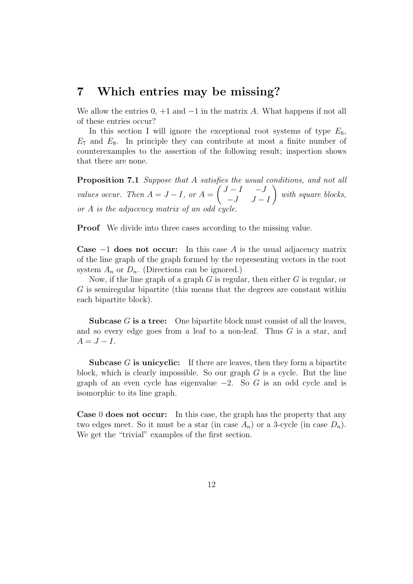#### 7 Which entries may be missing?

We allow the entries  $0, +1$  and  $-1$  in the matrix A. What happens if not all of these entries occur?

In this section I will ignore the exceptional root systems of type  $E_6$ ,  $E_7$  and  $E_8$ . In principle they can contribute at most a finite number of counterexamples to the assertion of the following result; inspection shows that there are none.

**Proposition 7.1** Suppose that A satisfies the usual conditions, and not all values occur. Then  $A = J - I$ , or  $A =$  $\int J - I \quad -J$  $-J$   $J-I$  $\setminus$ with square blocks, or  $A$  is the adjacency matrix of an odd

**Proof** We divide into three cases according to the missing value.

**Case**  $-1$  does not occur: In this case A is the usual adjacency matrix of the line graph of the graph formed by the representing vectors in the root system  $A_n$  or  $D_n$ . (Directions can be ignored.)

Now, if the line graph of a graph  $G$  is regular, then either  $G$  is regular, or G is semiregular bipartite (this means that the degrees are constant within each bipartite block).

**Subcase**  $G$  is a tree: One bipartite block must consist of all the leaves, and so every edge goes from a leaf to a non-leaf. Thus  $G$  is a star, and  $A = J - I$ .

**Subcase**  $G$  is unicyclic: If there are leaves, then they form a bipartite block, which is clearly impossible. So our graph  $G$  is a cycle. But the line graph of an even cycle has eigenvalue  $-2$ . So G is an odd cycle and is isomorphic to its line graph.

Case 0 does not occur: In this case, the graph has the property that any two edges meet. So it must be a star (in case  $A_n$ ) or a 3-cycle (in case  $D_n$ ). We get the "trivial" examples of the first section.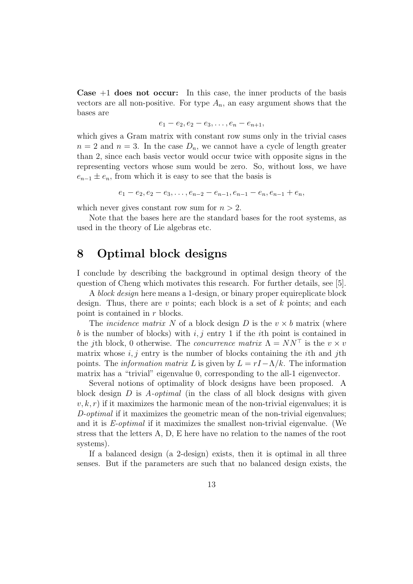**Case**  $+1$  **does not occur:** In this case, the inner products of the basis vectors are all non-positive. For type  $A_n$ , an easy argument shows that the bases are

$$
e_1 - e_2, e_2 - e_3, \ldots, e_n - e_{n+1},
$$

which gives a Gram matrix with constant row sums only in the trivial cases  $n = 2$  and  $n = 3$ . In the case  $D_n$ , we cannot have a cycle of length greater than 2, since each basis vector would occur twice with opposite signs in the representing vectors whose sum would be zero. So, without loss, we have  $e_{n-1} \pm e_n$ , from which it is easy to see that the basis is

$$
e_1 - e_2, e_2 - e_3, \ldots, e_{n-2} - e_{n-1}, e_{n-1} - e_n, e_{n-1} + e_n,
$$

which never gives constant row sum for  $n > 2$ .

Note that the bases here are the standard bases for the root systems, as used in the theory of Lie algebras etc.

#### 8 Optimal block designs

I conclude by describing the background in optimal design theory of the question of Cheng which motivates this research. For further details, see [5].

A block design here means a 1-design, or binary proper equireplicate block design. Thus, there are v points; each block is a set of  $k$  points; and each point is contained in r blocks.

The *incidence matrix* N of a block design D is the  $v \times b$  matrix (where b is the number of blocks) with i, j entry 1 if the ith point is contained in the jth block, 0 otherwise. The *concurrence matrix*  $\Lambda = NN^{\top}$  is the  $v \times v$ matrix whose  $i, j$  entry is the number of blocks containing the *i*th and *j*th points. The *information matrix L* is given by  $L = rI - \Lambda/k$ . The information matrix has a "trivial" eigenvalue 0, corresponding to the all-1 eigenvector.

Several notions of optimality of block designs have been proposed. A block design  $D$  is A-optimal (in the class of all block designs with given  $v, k, r$ ) if it maximizes the harmonic mean of the non-trivial eigenvalues; it is D-optimal if it maximizes the geometric mean of the non-trivial eigenvalues; and it is E-optimal if it maximizes the smallest non-trivial eigenvalue. (We stress that the letters A, D, E here have no relation to the names of the root systems).

If a balanced design (a 2-design) exists, then it is optimal in all three senses. But if the parameters are such that no balanced design exists, the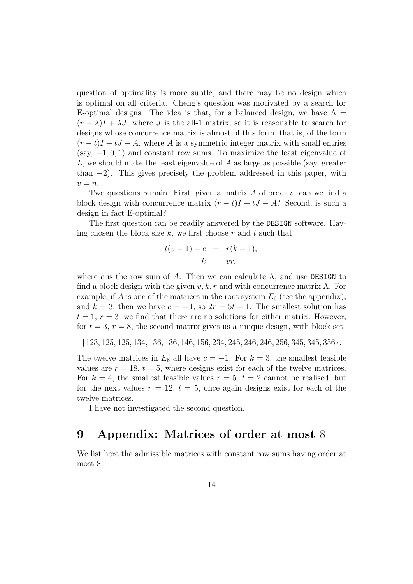question of optimality is more subtle, and there may be no design which is optimal on all criteria. Cheng's question was motivated by a search for E-optimal designs. The idea is that, for a balanced design, we have  $\Lambda =$  $(r - \lambda)I + \lambda J$ , where J is the all-1 matrix; so it is reasonable to search for designs whose concurrence matrix is almost of this form, that is, of the form  $(r-t)I + tJ - A$ , where A is a symmetric integer matrix with small entries (say,  $-1, 0, 1$ ) and constant row sums. To maximize the least eigenvalue of L, we should make the least eigenvalue of A as large as possible (say, greater than  $-2$ ). This gives precisely the problem addressed in this paper, with  $v = n$ .

Two questions remain. First, given a matrix  $A$  of order  $v$ , can we find a block design with concurrence matrix  $(r - t)I + tJ - A$ ? Second, is such a design in fact E-optimal?

The first question can be readily answered by the DESIGN software. Having chosen the block size  $k$ , we first choose  $r$  and  $t$  such that

$$
t(v-1) - c = r(k-1),
$$
  

$$
k \mid vr,
$$

where c is the row sum of A. Then we can calculate  $\Lambda$ , and use DESIGN to find a block design with the given  $v, k, r$  and with concurrence matrix  $\Lambda$ . For example, if A is one of the matrices in the root system  $E_6$  (see the appendix), and  $k = 3$ , then we have  $c = -1$ , so  $2r = 5t + 1$ . The smallest solution has  $t = 1, r = 3$ ; we find that there are no solutions for either matrix. However, for  $t = 3$ ,  $r = 8$ , the second matrix gives us a unique design, with block set

{123, 125, 125, 134, 136, 136, 146, 156, 234, 245, 246, 246, 256, 345, 345, 356}.

The twelve matrices in  $E_8$  all have  $c = -1$ . For  $k = 3$ , the smallest feasible values are  $r = 18$ ,  $t = 5$ , where designs exist for each of the twelve matrices. For  $k = 4$ , the smallest feasible values  $r = 5$ ,  $t = 2$  cannot be realised, but for the next values  $r = 12$ ,  $t = 5$ , once again designs exist for each of the twelve matrices.

I have not investigated the second question.

#### 9 Appendix: Matrices of order at most 8

We list here the admissible matrices with constant row sums having order at most 8.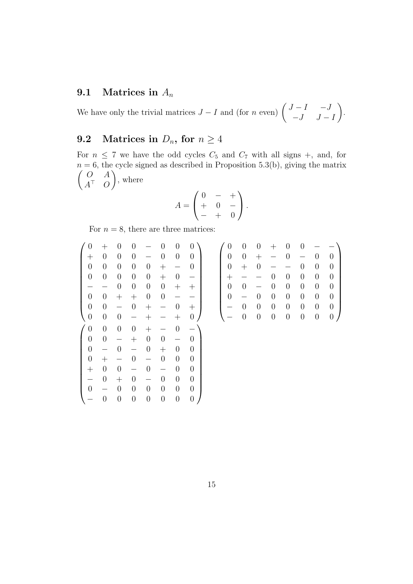#### 9.1 Matrices in  $A_n$

We have only the trivial matrices  $J - I$  and (for n even)  $\begin{pmatrix} J - I & -J \\ I & I \end{pmatrix}$  $-J$   $J - I$  $\setminus$ .

#### 9.2 Matrices in  $D_n$ , for  $n \geq 4$

For  $n \leq 7$  we have the odd cycles  $C_5$  and  $C_7$  with all signs +, and, for  $n = 6$ , the cycle signed as described in Proposition 5.3(b), giving the matrix  $\int$  O  $A$  $A^{\top}$  O  $\setminus$ , where

$$
A = \begin{pmatrix} 0 & - & + \\ + & 0 & - \\ - & + & 0 \end{pmatrix}.
$$

For  $n = 8$ , there are three matrices:

| $\overline{0}$   | $\hspace{.1cm} + \hspace{.1cm}$ | $\overline{0}$           | $\overline{0}$           |                    | 0                | $\overline{0}$           | $\overline{0}$           | $\boldsymbol{0}$ | $\boldsymbol{0}$ | $\theta$       |                  | 0                | $\overline{0}$   |                  |                  |
|------------------|---------------------------------|--------------------------|--------------------------|--------------------|------------------|--------------------------|--------------------------|------------------|------------------|----------------|------------------|------------------|------------------|------------------|------------------|
| $^+$             | $\theta$                        | $\overline{0}$           | $\theta$                 |                    | $\overline{0}$   | $\theta$                 | $\theta$                 | $\boldsymbol{0}$ | $\boldsymbol{0}$ | $^+$           |                  | $\boldsymbol{0}$ |                  | $\overline{0}$   | $\overline{0}$   |
| $\theta$         | $\boldsymbol{0}$                | $\boldsymbol{0}$         | $\boldsymbol{0}$         | $\boldsymbol{0}$   | $^{+}$           |                          | $\theta$                 | $\boldsymbol{0}$ | $+$              | $\overline{0}$ |                  |                  | $\theta$         | $\boldsymbol{0}$ | $\overline{0}$   |
| $\boldsymbol{0}$ | $\boldsymbol{0}$                | $\boldsymbol{0}$         | $\boldsymbol{0}$         | $\boldsymbol{0}$   | $^{+}$           | $\boldsymbol{0}$         | $\overline{\phantom{0}}$ | $^{+}$           |                  |                | $\boldsymbol{0}$ | $\boldsymbol{0}$ | $\boldsymbol{0}$ | $\boldsymbol{0}$ | $\overline{0}$   |
|                  | $\overline{\phantom{0}}$        | $\boldsymbol{0}$         | $\boldsymbol{0}$         | $\boldsymbol{0}$   | $\boldsymbol{0}$ | $^{+}$                   | $^+$                     | $\boldsymbol{0}$ | $\boldsymbol{0}$ |                | $\theta$         | $\overline{0}$   | $\theta$         | $\overline{0}$   | $\overline{0}$   |
| $\boldsymbol{0}$ | $\boldsymbol{0}$                | $^{+}$                   | $^{+}$                   | $\boldsymbol{0}$   | $\boldsymbol{0}$ | $\overline{\phantom{0}}$ |                          | $\boldsymbol{0}$ |                  | $\theta$       | $\theta$         | $\boldsymbol{0}$ | $\theta$         | $\boldsymbol{0}$ | $\overline{0}$   |
| $\theta$         | $\boldsymbol{0}$                | $\overline{\phantom{0}}$ | $\boldsymbol{0}$         | $^{+}$             |                  | $\boldsymbol{0}$         | $^+$                     |                  | $\boldsymbol{0}$ | $\overline{0}$ | $\boldsymbol{0}$ | $\boldsymbol{0}$ | $\boldsymbol{0}$ | $\boldsymbol{0}$ | $\overline{0}$   |
| $\boldsymbol{0}$ | $\boldsymbol{0}$                | $\boldsymbol{0}$         | $\overline{\phantom{0}}$ | $\hspace{0.1mm} +$ |                  |                          | $\overline{0}$           |                  | $\overline{0}$   | $\theta$       | $\boldsymbol{0}$ | $\overline{0}$   | $\overline{0}$   | $\boldsymbol{0}$ | $\boldsymbol{0}$ |
|                  |                                 |                          |                          |                    |                  |                          |                          |                  |                  |                |                  |                  |                  |                  |                  |
| $\boldsymbol{0}$ | $\boldsymbol{0}$                | $\boldsymbol{0}$         | $\boldsymbol{0}$         | $^{+}$             |                  | $\overline{0}$           | $\overline{\phantom{0}}$ |                  |                  |                |                  |                  |                  |                  |                  |
| $\boldsymbol{0}$ | $\boldsymbol{0}$                | $\overline{\phantom{0}}$ | $^{+}$                   | $\boldsymbol{0}$   | $\boldsymbol{0}$ | $\overline{\phantom{0}}$ | $\overline{0}$           |                  |                  |                |                  |                  |                  |                  |                  |
| $\overline{0}$   | $\overline{\phantom{0}}$        | $\overline{0}$           | $\overline{\phantom{0}}$ | $\theta$           | $^{+}$           | $\theta$                 | $\theta$                 |                  |                  |                |                  |                  |                  |                  |                  |
| $\boldsymbol{0}$ | $^{+}$                          | $\overline{\phantom{0}}$ | $\overline{0}$           |                    | $\overline{0}$   | $\theta$                 | $\overline{0}$           |                  |                  |                |                  |                  |                  |                  |                  |
| $^+$             | $\boldsymbol{0}$                | $\boldsymbol{0}$         |                          | $\overline{0}$     |                  | $\theta$                 | $\overline{0}$           |                  |                  |                |                  |                  |                  |                  |                  |
|                  | $\theta$                        | $^{+}$                   | $\theta$                 |                    | $\overline{0}$   | $\theta$                 | $\theta$                 |                  |                  |                |                  |                  |                  |                  |                  |
| $\overline{0}$   | $\overline{\phantom{0}}$        | $\theta$                 | $\boldsymbol{0}$         | $\theta$           | $\theta$         | $\theta$                 | $\boldsymbol{0}$         |                  |                  |                |                  |                  |                  |                  |                  |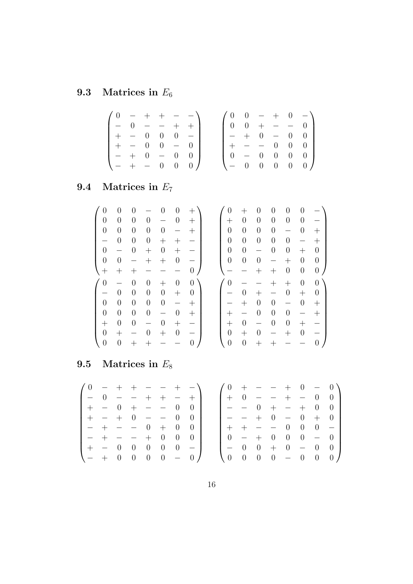# 9.3 Matrices in  $E_6$

|  |               |  | $(0 - + + - -)$                                       |  |  |  | $(0 \t 0 - + 0 -)$                                    |
|--|---------------|--|-------------------------------------------------------|--|--|--|-------------------------------------------------------|
|  |               |  | $\begin{bmatrix} - & 0 & - & - & + & + \end{bmatrix}$ |  |  |  | $\begin{bmatrix} 0 & 0 & + & - & - & 0 \end{bmatrix}$ |
|  | $+ - 0 0 0 -$ |  |                                                       |  |  |  | $- + 0 - 0 0 +$                                       |
|  | $+$ - 0 0 - 0 |  |                                                       |  |  |  | $+ - - 0 0 0$                                         |
|  | $- + 0 - 0 0$ |  |                                                       |  |  |  | $0 - 0 0 0 0$                                         |
|  |               |  | $(- + - 0 0 0)$                                       |  |  |  | $(- 0 0 0 0 0)$                                       |

# 9.4 Matrices in  $E_7$

| 0                  | 0                        | $\left( \right)$   |                    |                  | 0                        | $^+$                     | $\overline{0}$     |                  | 0                  | 0                | 0                  | $\overline{0}$           |                  |
|--------------------|--------------------------|--------------------|--------------------|------------------|--------------------------|--------------------------|--------------------|------------------|--------------------|------------------|--------------------|--------------------------|------------------|
| $\overline{0}$     | $\overline{0}$           | $\overline{0}$     | $\overline{0}$     |                  | $\boldsymbol{0}$         | $\hspace{0.1mm} +$       | $\hspace{0.1mm} +$ | $\overline{0}$   | $\overline{0}$     | $\overline{0}$   | $\theta$           | $\boldsymbol{0}$         |                  |
| $\overline{0}$     | $\theta$                 | $\overline{0}$     | $\boldsymbol{0}$   | $\theta$         | $\overline{\phantom{m}}$ | $\hspace{0.1mm} +$       | $\overline{0}$     | $\boldsymbol{0}$ | $\boldsymbol{0}$   | $\boldsymbol{0}$ | $\qquad \qquad -$  | $\boldsymbol{0}$         | $^+$             |
|                    | $\overline{0}$           | $\boldsymbol{0}$   | $\boldsymbol{0}$   | $^{+}$           | $^{+}$                   |                          | $\overline{0}$     | $\overline{0}$   | $\boldsymbol{0}$   | $\boldsymbol{0}$ | $\overline{0}$     | $\overline{\phantom{0}}$ | $^+$             |
| $\overline{0}$     | $\overline{\phantom{m}}$ | $\theta$           | $^{+}$             | $\theta$         | $^{+}$                   |                          | $\overline{0}$     | $\boldsymbol{0}$ |                    | $\overline{0}$   | $\theta$           | $^{+}$                   | $\boldsymbol{0}$ |
| $\overline{0}$     | $\theta$                 |                    | $\hspace{0.1mm} +$ | $^{+}$           | $\overline{0}$           | $\overline{\phantom{0}}$ | $\overline{0}$     | $\boldsymbol{0}$ | $\boldsymbol{0}$   |                  | $\hspace{0.1mm} +$ | $\boldsymbol{0}$         | $\overline{0}$   |
| $\hspace{0.1mm} +$ | $^+$                     | $\hspace{0.1mm} +$ |                    |                  |                          | $\overline{0}$           |                    |                  | $^{+}$             | $^+$             | $\boldsymbol{0}$   | $\boldsymbol{0}$         | $\boldsymbol{0}$ |
|                    |                          |                    |                    |                  |                          |                          |                    |                  |                    |                  |                    |                          |                  |
| 0                  |                          | $\overline{0}$     | $\overline{0}$     | $^+$             | $\overline{0}$           | $\overline{0}$           | $\overline{0}$     |                  |                    |                  | $\hspace{0.1mm} +$ | $\overline{0}$           | $\overline{0}$   |
|                    | $\theta$                 | $\theta$           | $\boldsymbol{0}$   | $\theta$         | $^{+}$                   | $\theta$                 |                    | $\theta$         | $\hspace{0.1mm} +$ |                  | $\theta$           | $^{+}$                   | $\overline{0}$   |
| $\overline{0}$     | $\overline{0}$           | $\overline{0}$     | $\boldsymbol{0}$   | $\boldsymbol{0}$ | $\overline{\phantom{m}}$ | $\hspace{0.1mm} +$       |                    | $^+$             | $\boldsymbol{0}$   | $\overline{0}$   |                    | $\boldsymbol{0}$         | $\pm$            |
| $\overline{0}$     | $\overline{0}$           | $\boldsymbol{0}$   | $\boldsymbol{0}$   |                  | $\boldsymbol{0}$         | $^{+}$                   | $^{+}$             |                  | $\boldsymbol{0}$   | $\overline{0}$   | $\overline{0}$     |                          | $^+$             |
| $^{+}$             | $\overline{0}$           | $\overline{0}$     | $\equiv$           | $\theta$         | $^{+}$                   | —                        | $\hspace{0.1mm} +$ | $\theta$         |                    | $\overline{0}$   | $\overline{0}$     | $^{+}$                   |                  |
| $\overline{0}$     | $\pm$                    |                    | 0                  | $^+$             | $\boldsymbol{0}$         | -                        | $\overline{0}$     | $^+$             | $\boldsymbol{0}$   |                  | $^+$               | $\boldsymbol{0}$         |                  |

## 9.5 Matrices in  $E_8$

| $10 - + + - - + -$ |         |                                  |                                  |                                  |                               |                                   | $0 +$                                 |           |                   |                |                             |                |     | $- - + 0 - 0$                            |
|--------------------|---------|----------------------------------|----------------------------------|----------------------------------|-------------------------------|-----------------------------------|---------------------------------------|-----------|-------------------|----------------|-----------------------------|----------------|-----|------------------------------------------|
|                    |         | $0 - - + +$                      |                                  |                                  | $ +$                          |                                   |                                       |           |                   |                |                             |                |     | $+ 0 - - + - 0 0$                        |
| $+ - 0$            |         | $+ - - 0$                        |                                  |                                  |                               | $\bigcup$                         | $\qquad \qquad - \qquad -$            |           | $\hspace{0.6cm}0$ | $+$            |                             |                |     | $- + 0 0$                                |
|                    | $+ - +$ | $0 - - 0$                        |                                  |                                  |                               | $\hspace{0.6cm}0$                 |                                       | $  +$     |                   | $\overline{0}$ | $\sim$ $-$                  | $\overline{0}$ | $+$ | $\begin{array}{ccc} & & 0 & \end{array}$ |
|                    |         | $- + - - 0 +$                    |                                  |                                  | $\begin{matrix}0\end{matrix}$ | $\hspace{0.6cm}0$                 |                                       | $+ - - 0$ |                   |                |                             | $\sim 0$       |     | $0 - 1$                                  |
| $- + - - + 0$      |         |                                  |                                  |                                  | $\overline{0}$                | $\bigcup$                         | $0 -$                                 |           | $+$               | $\overline{0}$ | $\overline{0}$              | $\overline{0}$ |     | $-0$                                     |
| $+ - 0$            |         | $\begin{array}{c} 0 \end{array}$ | $\begin{array}{c} 0 \end{array}$ | $\begin{array}{c} 0 \end{array}$ | $\overline{0}$                | $\overline{\phantom{a}}$          | $- 0$                                 |           | $\overline{0}$    | $+ 0$          |                             |                |     | $-0$ 0                                   |
| $1 - + 0 = 0$      |         |                                  |                                  |                                  |                               | $0 \quad 0 \quad - \quad 0 \quad$ | $\begin{pmatrix} 0 & 0 \end{pmatrix}$ |           |                   |                | $0 \quad 0 \quad - \quad 0$ |                |     | $0 \quad 0$                              |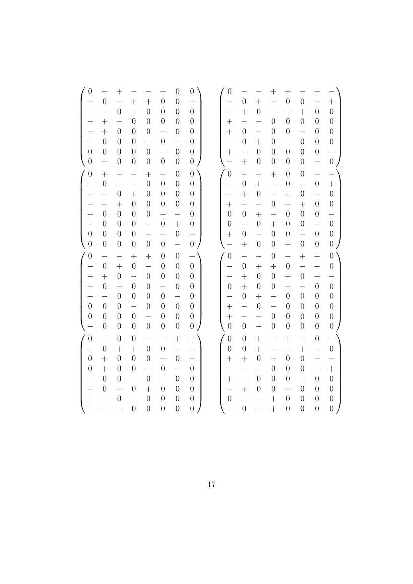| $\boldsymbol{0}$         |                          | $^{+}$                   |                          |                          | $^{+}$                   | $\boldsymbol{0}$         | $\boldsymbol{0}$         | $\boldsymbol{0}$         |                          |                          | $^{+}$                   | $^{+}$                   |                          | $\hspace{0.1mm} +$       |                          |
|--------------------------|--------------------------|--------------------------|--------------------------|--------------------------|--------------------------|--------------------------|--------------------------|--------------------------|--------------------------|--------------------------|--------------------------|--------------------------|--------------------------|--------------------------|--------------------------|
| $\overline{a}$           | $\boldsymbol{0}$         | $\overline{a}$           | $^{+}$                   | $^{+}$                   | $\overline{0}$           | $\overline{0}$           |                          | $\overline{\phantom{0}}$ | $\overline{0}$           | $\ddot{}$                | $\overline{\phantom{0}}$ | $\overline{0}$           | $\boldsymbol{0}$         | $\overline{\phantom{0}}$ | $+$                      |
| $^{+}$                   | $\overline{\phantom{0}}$ | $\boldsymbol{0}$         | $\overline{\phantom{0}}$ | $\overline{0}$           | $\overline{0}$           | $\overline{0}$           | $\overline{0}$           | —                        | $+$                      | $\boldsymbol{0}$         | $\overline{\phantom{0}}$ | —                        | $^{+}$                   | $\overline{0}$           | $\boldsymbol{0}$         |
|                          | $^{+}$                   | $\overline{\phantom{0}}$ | $\boldsymbol{0}$         | $\boldsymbol{0}$         | $\boldsymbol{0}$         | $\boldsymbol{0}$         | $\boldsymbol{0}$         | $^{+}$                   | $\overline{\phantom{0}}$ | $\overline{\phantom{0}}$ | $\overline{0}$           | $\overline{0}$           | $\overline{0}$           | $\boldsymbol{0}$         | $\boldsymbol{0}$         |
|                          | $+$                      | $\boldsymbol{0}$         | $\overline{0}$           | $\overline{0}$           | $\overline{\phantom{0}}$ | $\boldsymbol{0}$         | $\boldsymbol{0}$         | $^{+}$                   | $\overline{0}$           | $\overline{\phantom{0}}$ | $\overline{0}$           | $\overline{0}$           | $\overline{\phantom{0}}$ | $\boldsymbol{0}$         | $\boldsymbol{0}$         |
| $^{+}$                   | $\overline{0}$           | $\overline{0}$           | $\overline{0}$           | $\overline{\phantom{0}}$ | $\overline{0}$           | $\overline{\phantom{0}}$ | $\boldsymbol{0}$         | —                        | $\boldsymbol{0}$         | $+$                      | $\overline{0}$           | $\overline{\phantom{0}}$ | $\overline{0}$           | $\overline{0}$           | $\boldsymbol{0}$         |
| $\overline{0}$           | $\overline{0}$           | $\overline{0}$           | $\overline{0}$           | $\overline{0}$           | $\overline{\phantom{0}}$ | $\boldsymbol{0}$         | $\boldsymbol{0}$         | $+$                      | $\equiv$                 | $\overline{0}$           | $\overline{0}$           | $\overline{0}$           | $\overline{0}$           | $\boldsymbol{0}$         |                          |
| $\boldsymbol{0}$         | $\overline{\phantom{0}}$ | $\boldsymbol{0}$         | $\boldsymbol{0}$         | $\boldsymbol{0}$         | $\boldsymbol{0}$         | $\boldsymbol{0}$         | $\boldsymbol{0}$         |                          | $^{+}$                   | $\boldsymbol{0}$         | $\boldsymbol{0}$         | $\boldsymbol{0}$         | $\boldsymbol{0}$         | $\frac{1}{\sqrt{2}}$     | $\frac{1}{0}$            |
|                          |                          |                          |                          |                          |                          |                          |                          |                          |                          |                          |                          |                          |                          |                          |                          |
| $\overline{0}$           | $^{+}$                   | —<br>$\overline{a}$      | —                        | $^{+}$                   | $\overline{\phantom{0}}$ | $\boldsymbol{0}$         | $\overline{0}$           | $\boldsymbol{0}$         | $\overline{\phantom{0}}$ | $\overline{\phantom{0}}$ | $^{+}$                   | $\boldsymbol{0}$         | $\boldsymbol{0}$         | $^{+}$                   | $-$                      |
| $\ddot{}$                | $\overline{0}$           |                          | $\overline{\phantom{0}}$ | $\overline{0}$           | $\overline{0}$           | $\overline{0}$           | $\boldsymbol{0}$         | $\overline{\phantom{0}}$ | $\overline{0}$           | $\ddot{}$                | $\overline{\phantom{0}}$ | $\boldsymbol{0}$         | $\overline{a}$           | $\overline{0}$           |                          |
|                          | $\overline{a}$           | $\boldsymbol{0}$         | $^{+}$                   | $\overline{0}$           | $\overline{0}$           | $\boldsymbol{0}$         | $\boldsymbol{0}$         |                          | $+$                      | $\overline{0}$           | $\overline{\phantom{0}}$ | $^{+}$                   | $\boldsymbol{0}$         | $\overline{\phantom{0}}$ | $\boldsymbol{0}$         |
|                          | $\overline{\phantom{0}}$ | $^{+}$                   | $\overline{0}$           | $\overline{0}$           | $\boldsymbol{0}$         | $\boldsymbol{0}$         | $\boldsymbol{0}$         | $^{+}$                   | $\overline{\phantom{0}}$ | $\overline{\phantom{0}}$ | $\boldsymbol{0}$         | $\overline{\phantom{0}}$ | $+$                      | $\boldsymbol{0}$         | $\boldsymbol{0}$         |
| $^{+}$                   | $\overline{0}$           | $\overline{0}$           | $\overline{0}$           | $\boldsymbol{0}$         | $\overline{\phantom{0}}$ | $\overline{\phantom{0}}$ | $\boldsymbol{0}$         | $\overline{0}$           | $\boldsymbol{0}$         | $+$                      | $\overline{\phantom{0}}$ | $\overline{0}$           | $\overline{0}$           | $\boldsymbol{0}$         | $\overline{\phantom{0}}$ |
|                          | $\overline{0}$           | $\overline{0}$           | $\boldsymbol{0}$         | $\overline{a}$           | $\boldsymbol{0}$         | $^{+}$                   | $\boldsymbol{0}$         | $\boldsymbol{0}$         | $\overline{a}$           | $\boldsymbol{0}$         | $\ddot{}$                | $\overline{0}$           | $\boldsymbol{0}$         | $\overline{\phantom{0}}$ | $\boldsymbol{0}$         |
| $\boldsymbol{0}$         | $\overline{0}$           | $\overline{0}$           | $\boldsymbol{0}$         | —                        | $^{+}$                   | $\boldsymbol{0}$         | $\frac{1}{0}$            | $+$                      | $\boldsymbol{0}$         | $\overline{\phantom{0}}$ | $\overline{0}$           | $\overline{0}$           | $\overline{\phantom{0}}$ | $\boldsymbol{0}$         | $\boldsymbol{0}$         |
| $\overline{0}$           | $\overline{0}$           | $\boldsymbol{0}$         | $\boldsymbol{0}$         | $\overline{0}$           | $\overline{0}$           | $\overline{\phantom{0}}$ |                          |                          | $^{+}$                   | $\boldsymbol{0}$         | $\boldsymbol{0}$         | $\overline{\phantom{0}}$ | $\overline{0}$           | $\boldsymbol{0}$         | $\overline{0}$           |
| $\overline{0}$           | $\overline{\phantom{0}}$ | —                        | $^{+}$                   | $^{+}$                   | $\boldsymbol{0}$         | $\boldsymbol{0}$         |                          | $\overline{0}$           | $\overline{\phantom{0}}$ | —                        | $\boldsymbol{0}$         | —                        | $^{+}$                   | $^{+}$                   | $\overline{0}$           |
| ÷,                       | $\boldsymbol{0}$         | $^{+}$                   | $\boldsymbol{0}$         | $\overline{\phantom{0}}$ | $\boldsymbol{0}$         | $\boldsymbol{0}$         | $\boldsymbol{0}$         | $\overline{\phantom{0}}$ | $\overline{0}$           | $+$                      | $+$                      | $\boldsymbol{0}$         | $\overline{\phantom{0}}$ | $\overline{\phantom{0}}$ | $\boldsymbol{0}$         |
| $\overline{a}$           | $+$                      | $\boldsymbol{0}$         | $\equiv$                 | $\boldsymbol{0}$         | $\overline{0}$           | $\boldsymbol{0}$         | $\boldsymbol{0}$         | $\overline{\phantom{0}}$ | $^{+}$                   | $\boldsymbol{0}$         | $\boldsymbol{0}$         | $^{+}$                   | $\boldsymbol{0}$         | $\equiv$                 |                          |
| $^{+}$                   | $\overline{0}$           | $\overline{a}$           | $\boldsymbol{0}$         | $\boldsymbol{0}$         | $\overline{a}$           | $\boldsymbol{0}$         | $\boldsymbol{0}$         | $\boldsymbol{0}$         | $+$                      | $\boldsymbol{0}$         | $\boldsymbol{0}$         | $\overline{\phantom{0}}$ | $\overline{a}$           | $\boldsymbol{0}$         | $\overline{0}$           |
| $^{+}$                   | $\overline{\phantom{0}}$ | $\overline{0}$           | $\overline{0}$           | $\boldsymbol{0}$         | $\overline{0}$           | —                        | $\boldsymbol{0}$         | $\overline{\phantom{0}}$ | $\boldsymbol{0}$         | $^{+}$                   | —                        | $\overline{0}$           | $\overline{0}$           | $\overline{0}$           | $\boldsymbol{0}$         |
| $\overline{0}$           | $\overline{0}$           | $\overline{0}$           | $\overline{\phantom{0}}$ | $\overline{0}$           | $\overline{0}$           | $\overline{0}$           | $\overline{0}$           | $+$                      | $\overline{\phantom{0}}$ | $\overline{0}$           | $\overline{\phantom{0}}$ | $\overline{0}$           | $\overline{0}$           | $\overline{0}$           | $\overline{0}$           |
| $\boldsymbol{0}$         | $\overline{0}$           | $\boldsymbol{0}$         | $\boldsymbol{0}$         | $\equiv$                 | $\overline{0}$           | $\boldsymbol{0}$         | $\boldsymbol{0}$         | $+$                      | $\equiv$                 |                          | $\boldsymbol{0}$         | $\overline{0}$           | $\boldsymbol{0}$         | $\boldsymbol{0}$         | $\boldsymbol{0}$         |
|                          | $\boldsymbol{0}$         | $\boldsymbol{0}$         | $\boldsymbol{0}$         | $\overline{0}$           | $\boldsymbol{0}$         | $\boldsymbol{0}$         | $\overline{0}$           | $\overline{0}$           | $\boldsymbol{0}$         | $\overline{\phantom{0}}$ | $\boldsymbol{0}$         | $\overline{0}$           | $\boldsymbol{0}$         | $\boldsymbol{0}$         | $\overline{0}$           |
| $\overline{0}$           | $\overline{\phantom{0}}$ | $\boldsymbol{0}$         | $\overline{0}$           | $\overline{\phantom{0}}$ | —                        | $^{+}$                   | $^{+}$                   | $\boldsymbol{0}$         | $\boldsymbol{0}$         | $^{+}$                   | —                        |                          | $\overline{\phantom{0}}$ | $\boldsymbol{0}$         | $\overline{\phantom{0}}$ |
| $\equiv$                 | $\overline{0}$           | $^{+}$                   | $^{+}$                   | $\overline{0}$           | $\boldsymbol{0}$         | $\equiv$                 |                          | $\overline{0}$           | $\boldsymbol{0}$         | $^{+}$                   | $\overline{\phantom{0}}$ | —                        | $+$                      | $\overline{\phantom{0}}$ | $\boldsymbol{0}$         |
| $\overline{0}$           | $^{+}$                   | $\overline{0}$           | $\boldsymbol{0}$         | $\overline{0}$           | $\overline{\phantom{0}}$ | $\overline{0}$           | $\overline{\phantom{0}}$ | $\hspace{0.1mm} +$       | $^{+}$                   | $\boldsymbol{0}$         | $\overline{\phantom{0}}$ | $\overline{0}$           | $\overline{0}$           | $\overline{\phantom{0}}$ |                          |
| $\boldsymbol{0}$         | $^{+}$                   | $\overline{0}$           | $\boldsymbol{0}$         | $\overline{\phantom{0}}$ | $\boldsymbol{0}$         | $\overline{\phantom{0}}$ | $\boldsymbol{0}$         |                          | —                        | —                        | $\overline{0}$           | $\overline{0}$           | $\boldsymbol{0}$         | $^{+}$                   | $^{+}$                   |
|                          | $\overline{0}$           | $\overline{0}$           | $\overline{\phantom{0}}$ | $\overline{0}$           | $^{+}$                   | $\overline{0}$           | $\overline{0}$           | $^{+}$                   | $\overline{\phantom{0}}$ | $\overline{0}$           | $\overline{0}$           | $\overline{0}$           | $\overline{\phantom{0}}$ | $\overline{0}$           | $\boldsymbol{0}$         |
| $\overline{\phantom{0}}$ | $\overline{0}$           | $\overline{\phantom{0}}$ | $\boldsymbol{0}$         | $^{+}$                   | $\boldsymbol{0}$         | $\overline{0}$           | $\boldsymbol{0}$         |                          | $+$                      | $\boldsymbol{0}$         | $\boldsymbol{0}$         | $\overline{\phantom{0}}$ | $\overline{0}$           | $\overline{0}$           | $\boldsymbol{0}$         |
| $^{+}$                   | $\equiv$                 | $\boldsymbol{0}$         | $\equiv$                 | $\boldsymbol{0}$         | $\boldsymbol{0}$         | $\boldsymbol{0}$         | $\boldsymbol{0}$         | $\boldsymbol{0}$         | $\overline{\phantom{0}}$ | —                        | $^{+}$                   | $\boldsymbol{0}$         | $\overline{0}$           | $\boldsymbol{0}$         | $\boldsymbol{0}$         |
| $\overline{+}$           |                          |                          | $\overline{0}$           | $\overline{0}$           | $\overline{0}$           | $\overline{0}$           | $\overline{0}$           |                          | $\overline{0}$           |                          | $+$                      | $\boldsymbol{0}$         | $\boldsymbol{0}$         | $\overline{0}$           | $\overline{0}$           |